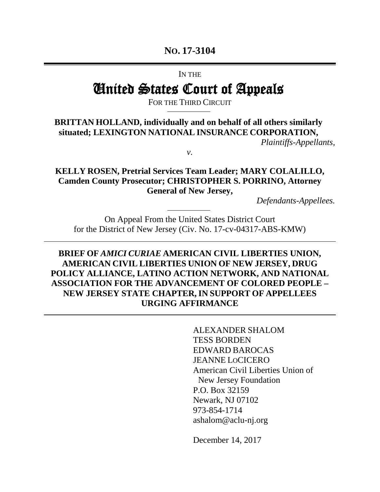# **NO. 17-3104**

IN THE

# United States Court of Appeals

FOR THE THIRD CIRCUIT

# **BRITTAN HOLLAND, individually and on behalf of all others similarly situated; LEXINGTON NATIONAL INSURANCE CORPORATION,**

*Plaintiffs-Appellants,* 

*v.*

**KELLY ROSEN, Pretrial Services Team Leader; MARY COLALILLO, Camden County Prosecutor; CHRISTOPHER S. PORRINO, Attorney General of New Jersey,**

*Defendants-Appellees.* 

On Appeal From the United States District Court for the District of New Jersey (Civ. No. 17-cv-04317-ABS-KMW)

**BRIEF OF** *AMICI CURIAE* **AMERICAN CIVIL LIBERTIES UNION, AMERICAN CIVIL LIBERTIES UNION OF NEW JERSEY, DRUG POLICY ALLIANCE, LATINO ACTION NETWORK, AND NATIONAL ASSOCIATION FOR THE ADVANCEMENT OF COLORED PEOPLE – NEW JERSEY STATE CHAPTER,IN SUPPORT OF APPELLEES URGING AFFIRMANCE**

> ALEXANDER SHALOM TESS BORDEN EDWARD BAROCAS JEANNE LOCICERO American Civil Liberties Union of New Jersey Foundation P.O. Box 32159 Newark, NJ 07102 973-854-1714 ashalom@aclu-nj.org

December 14, 2017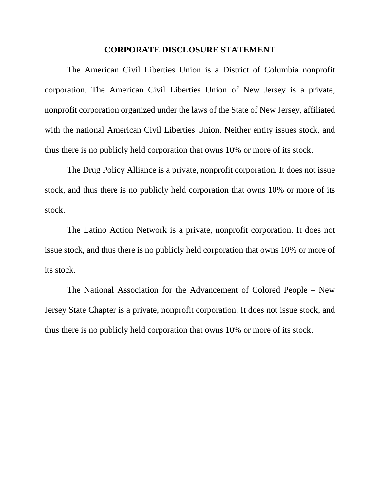#### **CORPORATE DISCLOSURE STATEMENT**

The American Civil Liberties Union is a District of Columbia nonprofit corporation. The American Civil Liberties Union of New Jersey is a private, nonprofit corporation organized under the laws of the State of New Jersey, affiliated with the national American Civil Liberties Union. Neither entity issues stock, and thus there is no publicly held corporation that owns 10% or more of its stock.

The Drug Policy Alliance is a private, nonprofit corporation. It does not issue stock, and thus there is no publicly held corporation that owns 10% or more of its stock.

The Latino Action Network is a private, nonprofit corporation. It does not issue stock, and thus there is no publicly held corporation that owns 10% or more of its stock.

The National Association for the Advancement of Colored People – New Jersey State Chapter is a private, nonprofit corporation. It does not issue stock, and thus there is no publicly held corporation that owns 10% or more of its stock.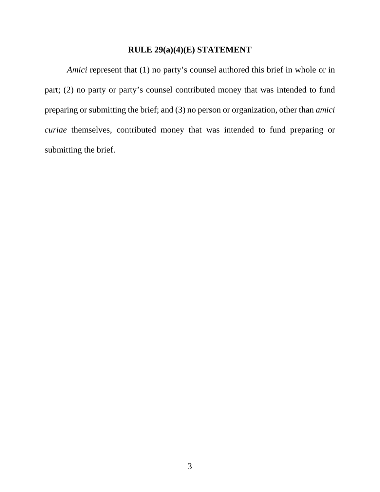### **RULE 29(a)(4)(E) STATEMENT**

*Amici* represent that (1) no party's counsel authored this brief in whole or in part; (2) no party or party's counsel contributed money that was intended to fund preparing or submitting the brief; and (3) no person or organization, other than *amici curiae* themselves, contributed money that was intended to fund preparing or submitting the brief.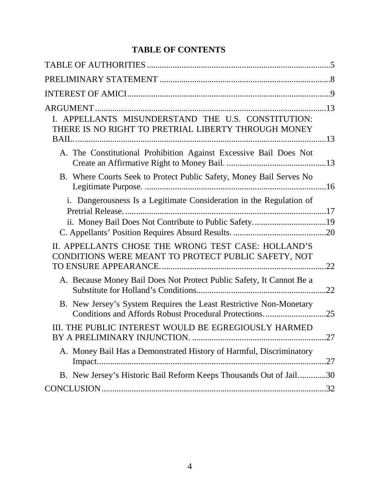# **TABLE OF CONTENTS**

| I. APPELLANTS MISUNDERSTAND THE U.S. CONSTITUTION:<br>THERE IS NO RIGHT TO PRETRIAL LIBERTY THROUGH MONEY                  |     |
|----------------------------------------------------------------------------------------------------------------------------|-----|
| A. The Constitutional Prohibition Against Excessive Bail Does Not                                                          |     |
| B. Where Courts Seek to Protect Public Safety, Money Bail Serves No                                                        |     |
| i. Dangerousness Is a Legitimate Consideration in the Regulation of                                                        |     |
|                                                                                                                            |     |
| II. APPELLANTS CHOSE THE WRONG TEST CASE: HOLLAND'S<br>CONDITIONS WERE MEANT TO PROTECT PUBLIC SAFETY, NOT                 |     |
| A. Because Money Bail Does Not Protect Public Safety, It Cannot Be a                                                       | .22 |
| B. New Jersey's System Requires the Least Restrictive Non-Monetary<br>Conditions and Affords Robust Procedural Protections | .25 |
| III. THE PUBLIC INTEREST WOULD BE EGREGIOUSLY HARMED                                                                       | 27  |
| A. Money Bail Has a Demonstrated History of Harmful, Discriminatory                                                        |     |
| B. New Jersey's Historic Bail Reform Keeps Thousands Out of Jail30                                                         |     |
|                                                                                                                            |     |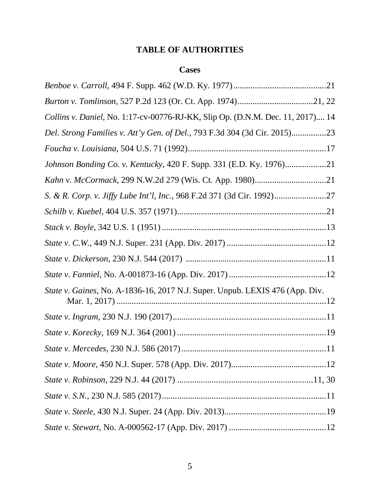# **TABLE OF AUTHORITIES**

# **Cases**

| Collins v. Daniel, No. 1:17-cv-00776-RJ-KK, Slip Op. (D.N.M. Dec. 11, 2017) 14 |
|--------------------------------------------------------------------------------|
| Del. Strong Families v. Att'y Gen. of Del., 793 F.3d 304 (3d Cir. 2015)23      |
|                                                                                |
| Johnson Bonding Co. v. Kentucky, 420 F. Supp. 331 (E.D. Ky. 1976)21            |
|                                                                                |
|                                                                                |
|                                                                                |
|                                                                                |
|                                                                                |
|                                                                                |
|                                                                                |
| State v. Gaines, No. A-1836-16, 2017 N.J. Super. Unpub. LEXIS 476 (App. Div.   |
|                                                                                |
|                                                                                |
|                                                                                |
|                                                                                |
|                                                                                |
|                                                                                |
|                                                                                |
|                                                                                |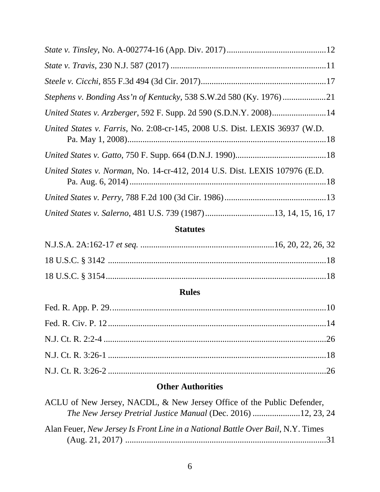| United States v. Arzberger, 592 F. Supp. 2d 590 (S.D.N.Y. 2008)14           |
|-----------------------------------------------------------------------------|
| United States v. Farris, No. 2:08-cr-145, 2008 U.S. Dist. LEXIS 36937 (W.D. |
|                                                                             |
| United States v. Norman, No. 14-cr-412, 2014 U.S. Dist. LEXIS 107976 (E.D.  |
|                                                                             |
| United States v. Salerno, 481 U.S. 739 (1987)13, 14, 15, 16, 17             |

# **Statutes**

# **Rules**

# **Other Authorities**

| ACLU of New Jersey, NACDL, & New Jersey Office of the Public Defender,          |  |
|---------------------------------------------------------------------------------|--|
|                                                                                 |  |
| Alan Feuer, New Jersey Is Front Line in a National Battle Over Bail, N.Y. Times |  |
|                                                                                 |  |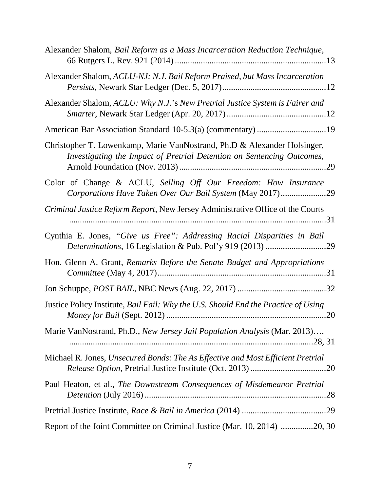| Alexander Shalom, Bail Reform as a Mass Incarceration Reduction Technique,                                                                         |
|----------------------------------------------------------------------------------------------------------------------------------------------------|
| Alexander Shalom, ACLU-NJ: N.J. Bail Reform Praised, but Mass Incarceration                                                                        |
| Alexander Shalom, ACLU: Why N.J.'s New Pretrial Justice System is Fairer and                                                                       |
|                                                                                                                                                    |
| Christopher T. Lowenkamp, Marie VanNostrand, Ph.D & Alexander Holsinger,<br>Investigating the Impact of Pretrial Detention on Sentencing Outcomes, |
| Color of Change & ACLU, Selling Off Our Freedom: How Insurance<br>Corporations Have Taken Over Our Bail System (May 2017)29                        |
| Criminal Justice Reform Report, New Jersey Administrative Office of the Courts                                                                     |
| Cynthia E. Jones, "Give us Free": Addressing Racial Disparities in Bail                                                                            |
| Hon. Glenn A. Grant, Remarks Before the Senate Budget and Appropriations                                                                           |
|                                                                                                                                                    |
| Justice Policy Institute, Bail Fail: Why the U.S. Should End the Practice of Using                                                                 |
| Marie VanNostrand, Ph.D., New Jersey Jail Population Analysis (Mar. 2013)                                                                          |
| Michael R. Jones, Unsecured Bonds: The As Effective and Most Efficient Pretrial                                                                    |
| Paul Heaton, et al., The Downstream Consequences of Misdemeanor Pretrial                                                                           |
|                                                                                                                                                    |
| Report of the Joint Committee on Criminal Justice (Mar. 10, 2014) 20, 30                                                                           |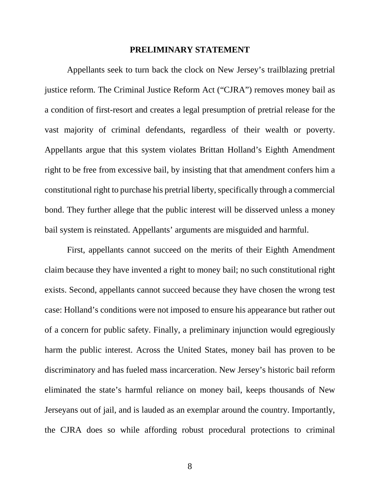#### **PRELIMINARY STATEMENT**

Appellants seek to turn back the clock on New Jersey's trailblazing pretrial justice reform. The Criminal Justice Reform Act ("CJRA") removes money bail as a condition of first-resort and creates a legal presumption of pretrial release for the vast majority of criminal defendants, regardless of their wealth or poverty. Appellants argue that this system violates Brittan Holland's Eighth Amendment right to be free from excessive bail, by insisting that that amendment confers him a constitutional right to purchase his pretrial liberty, specifically through a commercial bond. They further allege that the public interest will be disserved unless a money bail system is reinstated. Appellants' arguments are misguided and harmful.

First, appellants cannot succeed on the merits of their Eighth Amendment claim because they have invented a right to money bail; no such constitutional right exists. Second, appellants cannot succeed because they have chosen the wrong test case: Holland's conditions were not imposed to ensure his appearance but rather out of a concern for public safety. Finally, a preliminary injunction would egregiously harm the public interest. Across the United States, money bail has proven to be discriminatory and has fueled mass incarceration. New Jersey's historic bail reform eliminated the state's harmful reliance on money bail, keeps thousands of New Jerseyans out of jail, and is lauded as an exemplar around the country. Importantly, the CJRA does so while affording robust procedural protections to criminal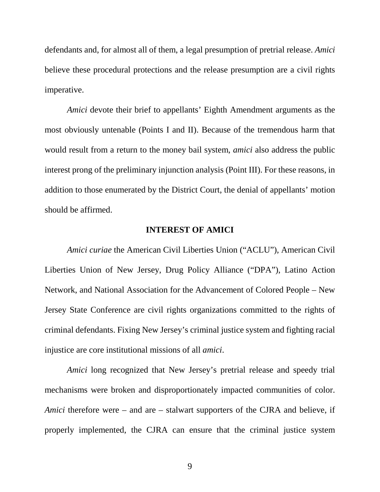defendants and, for almost all of them, a legal presumption of pretrial release. *Amici*  believe these procedural protections and the release presumption are a civil rights imperative.

*Amici* devote their brief to appellants' Eighth Amendment arguments as the most obviously untenable (Points I and II). Because of the tremendous harm that would result from a return to the money bail system, *amici* also address the public interest prong of the preliminary injunction analysis (Point III). For these reasons, in addition to those enumerated by the District Court, the denial of appellants' motion should be affirmed.

#### **INTEREST OF AMICI**

*Amici curiae* the American Civil Liberties Union ("ACLU"), American Civil Liberties Union of New Jersey, Drug Policy Alliance ("DPA"), Latino Action Network, and National Association for the Advancement of Colored People – New Jersey State Conference are civil rights organizations committed to the rights of criminal defendants. Fixing New Jersey's criminal justice system and fighting racial injustice are core institutional missions of all *amici*.

*Amici* long recognized that New Jersey's pretrial release and speedy trial mechanisms were broken and disproportionately impacted communities of color. *Amici* therefore were – and are – stalwart supporters of the CJRA and believe, if properly implemented, the CJRA can ensure that the criminal justice system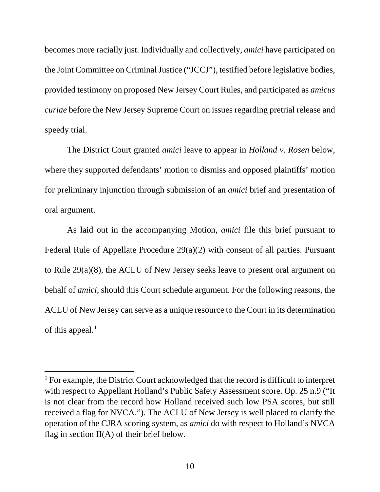becomes more racially just. Individually and collectively, *amici* have participated on the Joint Committee on Criminal Justice ("JCCJ"), testified before legislative bodies, provided testimony on proposed New Jersey Court Rules, and participated as *amicus curiae* before the New Jersey Supreme Court on issues regarding pretrial release and speedy trial.

The District Court granted *amici* leave to appear in *Holland v. Rosen* below, where they supported defendants' motion to dismiss and opposed plaintiffs' motion for preliminary injunction through submission of an *amici* brief and presentation of oral argument.

As laid out in the accompanying Motion, *amici* file this brief pursuant to Federal Rule of Appellate Procedure 29(a)(2) with consent of all parties. Pursuant to Rule 29(a)(8), the ACLU of New Jersey seeks leave to present oral argument on behalf of *amici*, should this Court schedule argument. For the following reasons, the ACLU of New Jersey can serve as a unique resource to the Court in its determination of this appeal. $<sup>1</sup>$ </sup>

<span id="page-9-0"></span><sup>&</sup>lt;sup>1</sup> For example, the District Court acknowledged that the record is difficult to interpret with respect to Appellant Holland's Public Safety Assessment score. Op. 25 n.9 ("It is not clear from the record how Holland received such low PSA scores, but still received a flag for NVCA."). The ACLU of New Jersey is well placed to clarify the operation of the CJRA scoring system, as *amici* do with respect to Holland's NVCA flag in section  $II(A)$  of their brief below.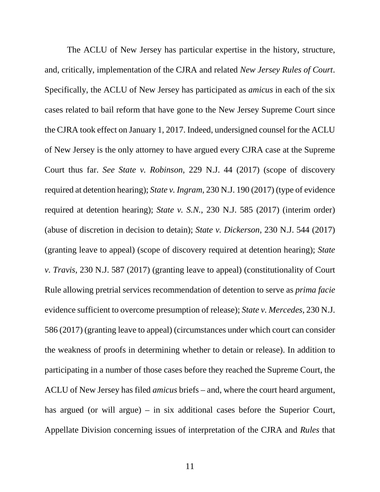The ACLU of New Jersey has particular expertise in the history, structure, and, critically, implementation of the CJRA and related *New Jersey Rules of Court*. Specifically, the ACLU of New Jersey has participated as *amicus* in each of the six cases related to bail reform that have gone to the New Jersey Supreme Court since the CJRA took effect on January 1, 2017. Indeed, undersigned counsel for the ACLU of New Jersey is the only attorney to have argued every CJRA case at the Supreme Court thus far. *See State v. Robinson*, 229 N.J. 44 (2017) (scope of discovery required at detention hearing); *State v. Ingram*, 230 N.J. 190 (2017) (type of evidence required at detention hearing); *State v. S.N.*, 230 N.J. 585 (2017) (interim order) (abuse of discretion in decision to detain); *State v. Dickerson*, 230 N.J. 544 (2017) (granting leave to appeal) (scope of discovery required at detention hearing); *State v. Travis*, 230 N.J. 587 (2017) (granting leave to appeal) (constitutionality of Court Rule allowing pretrial services recommendation of detention to serve as *prima facie* evidence sufficient to overcome presumption of release); *State v. Mercedes*, 230 N.J. 586 (2017) (granting leave to appeal) (circumstances under which court can consider the weakness of proofs in determining whether to detain or release). In addition to participating in a number of those cases before they reached the Supreme Court, the ACLU of New Jersey has filed *amicus* briefs – and, where the court heard argument, has argued (or will argue) – in six additional cases before the Superior Court, Appellate Division concerning issues of interpretation of the CJRA and *Rules* that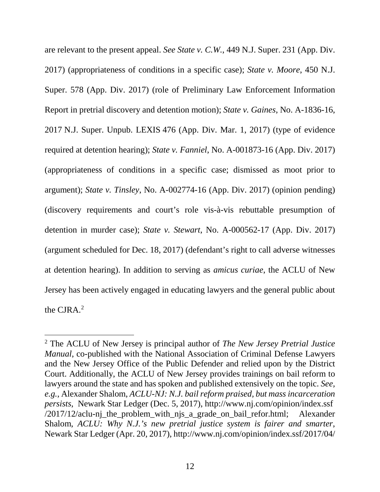are relevant to the present appeal. *See State v. C.W.*, 449 N.J. Super. 231 (App. Div. 2017) (appropriateness of conditions in a specific case); *State v. Moore*, 450 N.J. Super. 578 (App. Div. 2017) (role of Preliminary Law Enforcement Information Report in pretrial discovery and detention motion); *State v. Gaines*, No. A-1836-16, 2017 N.J. Super. Unpub. LEXIS 476 (App. Div. Mar. 1, 2017) (type of evidence required at detention hearing); *State v. Fanniel*, No. A-001873-16 (App. Div. 2017) (appropriateness of conditions in a specific case; dismissed as moot prior to argument); *State v. Tinsley*, No. A-002774-16 (App. Div. 2017) (opinion pending) (discovery requirements and court's role vis-à-vis rebuttable presumption of detention in murder case); *State v. Stewart*, No. A-000562-17 (App. Div. 2017) (argument scheduled for Dec. 18, 2017) (defendant's right to call adverse witnesses at detention hearing). In addition to serving as *amicus curiae*, the ACLU of New Jersey has been actively engaged in educating lawyers and the general public about the  $CIRA<sup>2</sup>$  $CIRA<sup>2</sup>$  $CIRA<sup>2</sup>$ 

<span id="page-11-0"></span> <sup>2</sup> The ACLU of New Jersey is principal author of *The New Jersey Pretrial Justice Manual*, co-published with the National Association of Criminal Defense Lawyers and the New Jersey Office of the Public Defender and relied upon by the District Court. Additionally, the ACLU of New Jersey provides trainings on bail reform to lawyers around the state and has spoken and published extensively on the topic. *See, e.g.*, Alexander Shalom, *ACLU-NJ: N.J. bail reform praised, but mass incarceration persists*, Newark Star Ledger (Dec. 5, 2017), http://www.nj.com/opinion/index.ssf /2017/12/aclu-nj\_the\_problem\_with\_njs\_a\_grade\_on\_bail\_refor.html; Alexander Shalom, *ACLU: Why N.J.'s new pretrial justice system is fairer and smarter*, Newark Star Ledger (Apr. 20, 2017), http://www.nj.com/opinion/index.ssf/2017/04/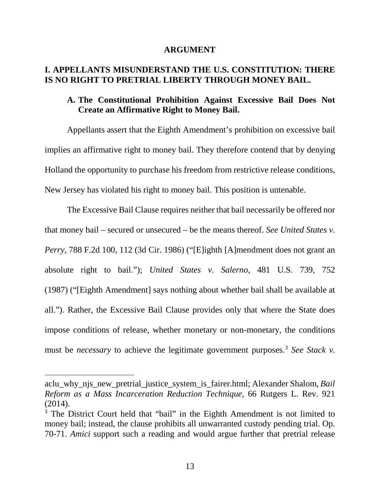#### **ARGUMENT**

# **I. APPELLANTS MISUNDERSTAND THE U.S. CONSTITUTION: THERE IS NO RIGHT TO PRETRIAL LIBERTY THROUGH MONEY BAIL.**

### **A. The Constitutional Prohibition Against Excessive Bail Does Not Create an Affirmative Right to Money Bail.**

Appellants assert that the Eighth Amendment's prohibition on excessive bail implies an affirmative right to money bail. They therefore contend that by denying Holland the opportunity to purchase his freedom from restrictive release conditions, New Jersey has violated his right to money bail. This position is untenable.

The Excessive Bail Clause requires neither that bail necessarily be offered nor that money bail – secured or unsecured – be the means thereof. *See United States v. Perry*, 788 F.2d 100, 112 (3d Cir. 1986) ("[E]ighth [A]mendment does not grant an absolute right to bail."); *United States v. Salerno*, 481 U.S. 739, 752 (1987) ("[Eighth Amendment] says nothing about whether bail shall be available at all."). Rather, the Excessive Bail Clause provides only that where the State does impose conditions of release, whether monetary or non-monetary, the conditions must be *necessary* to achieve the legitimate government purposes.<sup>3</sup> *See Stack v.* 

 $\overline{a}$ 

aclu\_why\_njs\_new\_pretrial\_justice\_system\_is\_fairer.html; Alexander Shalom, *Bail Reform as a Mass Incarceration Reduction Technique*, 66 Rutgers L. Rev. 921 (2014).

<span id="page-12-0"></span><sup>&</sup>lt;sup>3</sup> The District Court held that "bail" in the Eighth Amendment is not limited to money bail; instead, the clause prohibits all unwarranted custody pending trial. Op. 70-71. *Amici* support such a reading and would argue further that pretrial release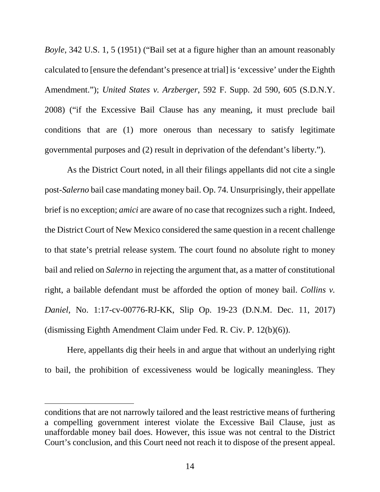*Boyle*, 342 U.S. 1, 5 (1951) ("Bail set at a figure higher than an amount reasonably calculated to [ensure the defendant's presence at trial] is 'excessive' under the Eighth Amendment."); *United States v. Arzberger*, 592 F. Supp. 2d 590, 605 (S.D.N.Y. 2008) ("if the Excessive Bail Clause has any meaning, it must preclude bail conditions that are (1) more onerous than necessary to satisfy legitimate governmental purposes and (2) result in deprivation of the defendant's liberty.").

As the District Court noted, in all their filings appellants did not cite a single post-*Salerno* bail case mandating money bail. Op. 74. Unsurprisingly, their appellate brief is no exception; *amici* are aware of no case that recognizes such a right. Indeed, the District Court of New Mexico considered the same question in a recent challenge to that state's pretrial release system. The court found no absolute right to money bail and relied on *Salerno* in rejecting the argument that, as a matter of constitutional right, a bailable defendant must be afforded the option of money bail. *Collins v. Daniel*, No. 1:17-cv-00776-RJ-KK, Slip Op. 19-23 (D.N.M. Dec. 11, 2017) (dismissing Eighth Amendment Claim under Fed. R. Civ. P. 12(b)(6)).

Here, appellants dig their heels in and argue that without an underlying right to bail, the prohibition of excessiveness would be logically meaningless. They

 $\overline{a}$ 

conditions that are not narrowly tailored and the least restrictive means of furthering a compelling government interest violate the Excessive Bail Clause, just as unaffordable money bail does. However, this issue was not central to the District Court's conclusion, and this Court need not reach it to dispose of the present appeal.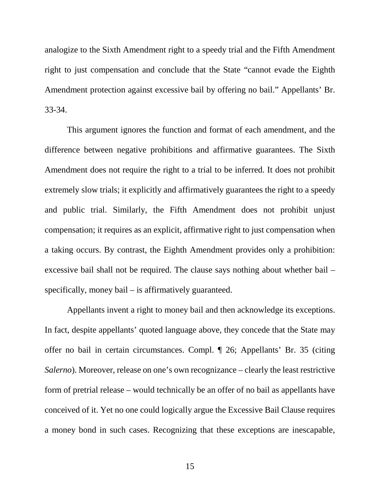analogize to the Sixth Amendment right to a speedy trial and the Fifth Amendment right to just compensation and conclude that the State "cannot evade the Eighth Amendment protection against excessive bail by offering no bail." Appellants' Br. 33-34.

This argument ignores the function and format of each amendment, and the difference between negative prohibitions and affirmative guarantees. The Sixth Amendment does not require the right to a trial to be inferred. It does not prohibit extremely slow trials; it explicitly and affirmatively guarantees the right to a speedy and public trial. Similarly, the Fifth Amendment does not prohibit unjust compensation; it requires as an explicit, affirmative right to just compensation when a taking occurs. By contrast, the Eighth Amendment provides only a prohibition: excessive bail shall not be required. The clause says nothing about whether bail – specifically, money bail – is affirmatively guaranteed.

Appellants invent a right to money bail and then acknowledge its exceptions. In fact, despite appellants' quoted language above, they concede that the State may offer no bail in certain circumstances. Compl. ¶ 26; Appellants' Br. 35 (citing *Salerno*). Moreover, release on one's own recognizance – clearly the least restrictive form of pretrial release – would technically be an offer of no bail as appellants have conceived of it. Yet no one could logically argue the Excessive Bail Clause requires a money bond in such cases. Recognizing that these exceptions are inescapable,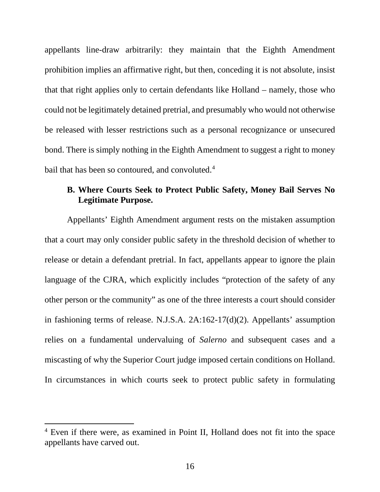appellants line-draw arbitrarily: they maintain that the Eighth Amendment prohibition implies an affirmative right, but then, conceding it is not absolute, insist that that right applies only to certain defendants like Holland – namely, those who could not be legitimately detained pretrial, and presumably who would not otherwise be released with lesser restrictions such as a personal recognizance or unsecured bond. There is simply nothing in the Eighth Amendment to suggest a right to money bail that has been so contoured, and convoluted.<sup>[4](#page-15-0)</sup>

# **B. Where Courts Seek to Protect Public Safety, Money Bail Serves No Legitimate Purpose.**

Appellants' Eighth Amendment argument rests on the mistaken assumption that a court may only consider public safety in the threshold decision of whether to release or detain a defendant pretrial. In fact, appellants appear to ignore the plain language of the CJRA, which explicitly includes "protection of the safety of any other person or the community" as one of the three interests a court should consider in fashioning terms of release. N.J.S.A. 2A:162-17(d)(2). Appellants' assumption relies on a fundamental undervaluing of *Salerno* and subsequent cases and a miscasting of why the Superior Court judge imposed certain conditions on Holland. In circumstances in which courts seek to protect public safety in formulating

<span id="page-15-0"></span> <sup>4</sup> Even if there were, as examined in Point II, Holland does not fit into the space appellants have carved out.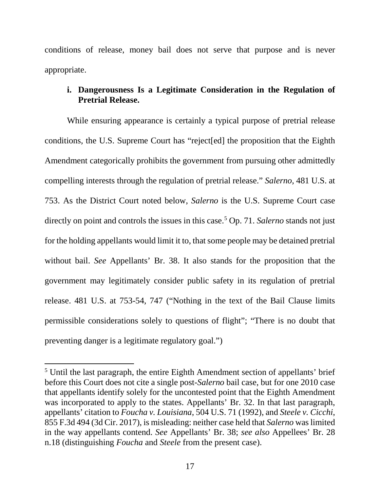conditions of release, money bail does not serve that purpose and is never appropriate.

# **i. Dangerousness Is a Legitimate Consideration in the Regulation of Pretrial Release.**

While ensuring appearance is certainly a typical purpose of pretrial release conditions, the U.S. Supreme Court has "reject[ed] the proposition that the Eighth Amendment categorically prohibits the government from pursuing other admittedly compelling interests through the regulation of pretrial release." *Salerno*, 481 U.S. at 753. As the District Court noted below, *Salerno* is the U.S. Supreme Court case directly on point and controls the issues in this case[.5](#page-16-0) Op. 71. *Salerno* stands not just for the holding appellants would limit it to, that some people may be detained pretrial without bail. *See* Appellants' Br. 38. It also stands for the proposition that the government may legitimately consider public safety in its regulation of pretrial release. 481 U.S. at 753-54, 747 ("Nothing in the text of the Bail Clause limits permissible considerations solely to questions of flight"; "There is no doubt that preventing danger is a legitimate regulatory goal.")

<span id="page-16-0"></span> <sup>5</sup> Until the last paragraph, the entire Eighth Amendment section of appellants' brief before this Court does not cite a single post-*Salerno* bail case, but for one 2010 case that appellants identify solely for the uncontested point that the Eighth Amendment was incorporated to apply to the states. Appellants' Br. 32. In that last paragraph, appellants' citation to *Foucha v. Louisiana*, 504 U.S. 71 (1992), and *Steele v. Cicchi*, 855 F.3d 494 (3d Cir. 2017), is misleading: neither case held that *Salerno* was limited in the way appellants contend. *See* Appellants' Br. 38; *see also* Appellees' Br. 28 n.18 (distinguishing *Foucha* and *Steele* from the present case).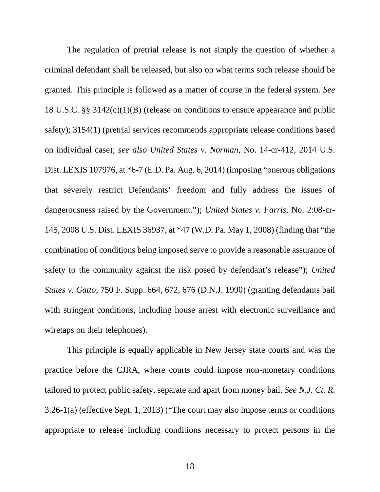The regulation of pretrial release is not simply the question of whether a criminal defendant shall be released, but also on what terms such release should be granted. This principle is followed as a matter of course in the federal system. *See*  18 U.S.C. §§ 3142(c)(1)(B) (release on conditions to ensure appearance and public safety); 3154(1) (pretrial services recommends appropriate release conditions based on individual case); *see also United States v. Norman*, No. 14-cr-412, 2014 U.S. Dist. LEXIS 107976, at \*6-7 (E.D. Pa. Aug. 6, 2014) (imposing "onerous obligations that severely restrict Defendants' freedom and fully address the issues of dangerousness raised by the Government."); *United States v. Farris*, No. 2:08-cr-145, 2008 U.S. Dist. LEXIS 36937, at \*47 (W.D. Pa. May 1, 2008) (finding that "the combination of conditions being imposed serve to provide a reasonable assurance of safety to the community against the risk posed by defendant's release"); *United States v. Gatto*, 750 F. Supp. 664, 672, 676 (D.N.J. 1990) (granting defendants bail with stringent conditions, including house arrest with electronic surveillance and wiretaps on their telephones).

This principle is equally applicable in New Jersey state courts and was the practice before the CJRA, where courts could impose non-monetary conditions tailored to protect public safety, separate and apart from money bail. *See N.J. Ct. R*. 3:26-1(a) (effective Sept. 1, 2013) ("The court may also impose terms or conditions appropriate to release including conditions necessary to protect persons in the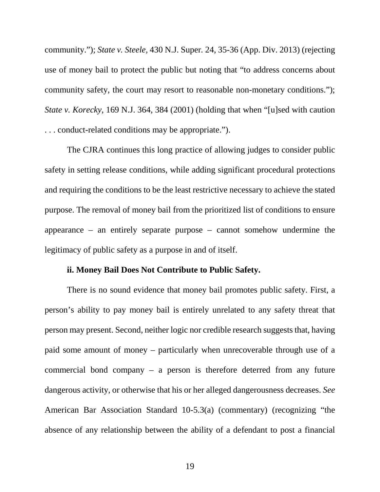community."); *State v. Steele,* 430 N.J. Super*.* 24, 35-36 (App. Div. 2013) (rejecting use of money bail to protect the public but noting that "to address concerns about community safety, the court may resort to reasonable non-monetary conditions."); *State v. Korecky*, 169 N.J. 364, 384 (2001) (holding that when "[u]sed with caution . . . conduct-related conditions may be appropriate.").

The CJRA continues this long practice of allowing judges to consider public safety in setting release conditions, while adding significant procedural protections and requiring the conditions to be the least restrictive necessary to achieve the stated purpose. The removal of money bail from the prioritized list of conditions to ensure appearance – an entirely separate purpose – cannot somehow undermine the legitimacy of public safety as a purpose in and of itself.

#### **ii. Money Bail Does Not Contribute to Public Safety.**

There is no sound evidence that money bail promotes public safety. First, a person's ability to pay money bail is entirely unrelated to any safety threat that person may present. Second, neither logic nor credible research suggests that, having paid some amount of money – particularly when unrecoverable through use of a commercial bond company – a person is therefore deterred from any future dangerous activity, or otherwise that his or her alleged dangerousness decreases. *See* American Bar Association Standard 10-5.3(a) (commentary) (recognizing "the absence of any relationship between the ability of a defendant to post a financial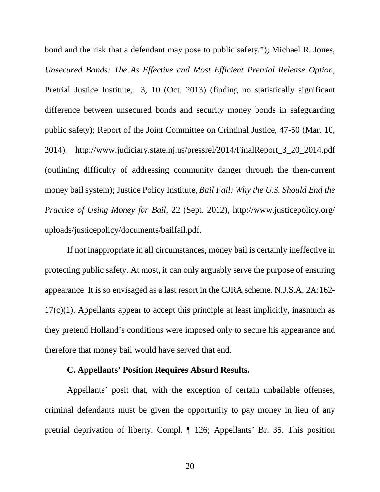bond and the risk that a defendant may pose to public safety."); Michael R. Jones, *Unsecured Bonds: The As Effective and Most Efficient Pretrial Release Option*, Pretrial Justice Institute, 3, 10 (Oct. 2013) (finding no statistically significant difference between unsecured bonds and security money bonds in safeguarding public safety); Report of the Joint Committee on Criminal Justice, 47-50 (Mar. 10, 2014), http://www.judiciary.state.nj.us/pressrel/2014/FinalReport\_3\_20\_2014.pdf (outlining difficulty of addressing community danger through the then-current money bail system); Justice Policy Institute, *Bail Fail: Why the U.S. Should End the Practice of Using Money for Bail*, 22 (Sept. 2012), http://www.justicepolicy.org/ uploads/justicepolicy/documents/bailfail.pdf.

If not inappropriate in all circumstances, money bail is certainly ineffective in protecting public safety. At most, it can only arguably serve the purpose of ensuring appearance. It is so envisaged as a last resort in the CJRA scheme. N.J.S.A. 2A:162-  $17(c)(1)$ . Appellants appear to accept this principle at least implicitly, inasmuch as they pretend Holland's conditions were imposed only to secure his appearance and therefore that money bail would have served that end.

### **C. Appellants' Position Requires Absurd Results.**

Appellants' posit that, with the exception of certain unbailable offenses, criminal defendants must be given the opportunity to pay money in lieu of any pretrial deprivation of liberty. Compl. ¶ 126; Appellants' Br. 35. This position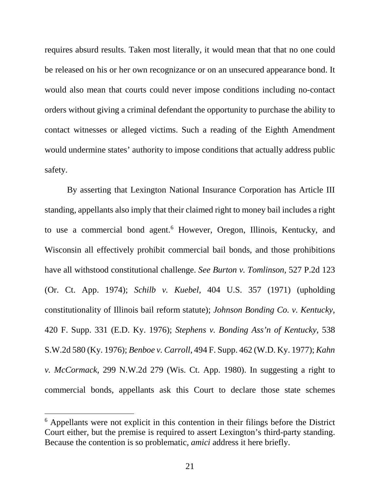requires absurd results. Taken most literally, it would mean that that no one could be released on his or her own recognizance or on an unsecured appearance bond. It would also mean that courts could never impose conditions including no-contact orders without giving a criminal defendant the opportunity to purchase the ability to contact witnesses or alleged victims. Such a reading of the Eighth Amendment would undermine states' authority to impose conditions that actually address public safety.

By asserting that Lexington National Insurance Corporation has Article III standing, appellants also imply that their claimed right to money bail includes a right to use a commercial bond agent. [6](#page-20-0) However, Oregon, Illinois, Kentucky, and Wisconsin all effectively prohibit commercial bail bonds, and those prohibitions have all withstood constitutional challenge. *See Burton v. Tomlinson*, 527 P.2d 123 (Or. Ct. App. 1974); *Schilb v. Kuebel*, 404 U.S. 357 (1971) (upholding constitutionality of Illinois bail reform statute); *Johnson Bonding Co. v. Kentucky*, 420 F. Supp. 331 (E.D. Ky. 1976); *Stephens v. Bonding Ass'n of Kentucky*, 538 S.W.2d 580 (Ky. 1976); *Benboe v. Carroll*, 494 F. Supp. 462 (W.D. Ky. 1977); *Kahn v. McCormack*, 299 N.W.2d 279 (Wis. Ct. App. 1980). In suggesting a right to commercial bonds, appellants ask this Court to declare those state schemes

<span id="page-20-0"></span> <sup>6</sup> Appellants were not explicit in this contention in their filings before the District Court either, but the premise is required to assert Lexington's third-party standing. Because the contention is so problematic, *amici* address it here briefly.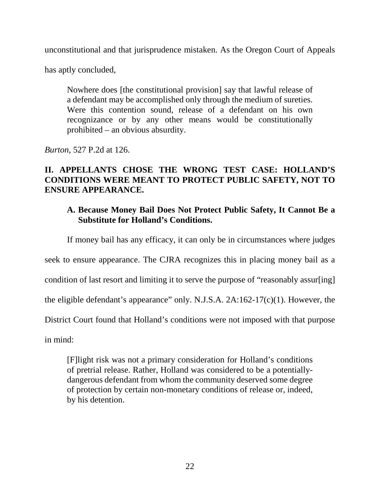unconstitutional and that jurisprudence mistaken. As the Oregon Court of Appeals

has aptly concluded,

Nowhere does [the constitutional provision] say that lawful release of a defendant may be accomplished only through the medium of sureties. Were this contention sound, release of a defendant on his own recognizance or by any other means would be constitutionally prohibited – an obvious absurdity.

*Burton*, 527 P.2d at 126.

# **II. APPELLANTS CHOSE THE WRONG TEST CASE: HOLLAND'S CONDITIONS WERE MEANT TO PROTECT PUBLIC SAFETY, NOT TO ENSURE APPEARANCE.**

# **A. Because Money Bail Does Not Protect Public Safety, It Cannot Be a Substitute for Holland's Conditions.**

If money bail has any efficacy, it can only be in circumstances where judges

seek to ensure appearance. The CJRA recognizes this in placing money bail as a

condition of last resort and limiting it to serve the purpose of "reasonably assur[ing]

the eligible defendant's appearance" only. N.J.S.A. 2A:162-17(c)(1). However, the

District Court found that Holland's conditions were not imposed with that purpose

in mind:

[F]light risk was not a primary consideration for Holland's conditions of pretrial release. Rather, Holland was considered to be a potentiallydangerous defendant from whom the community deserved some degree of protection by certain non-monetary conditions of release or, indeed, by his detention.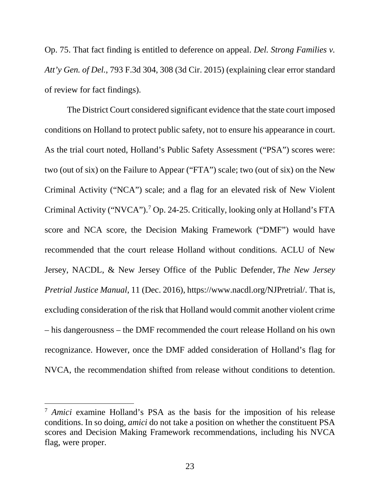Op. 75. That fact finding is entitled to deference on appeal. *Del. Strong Families v. Att'y Gen. of Del.*, 793 F.3d 304, 308 (3d Cir. 2015) (explaining clear error standard of review for fact findings).

The District Court considered significant evidence that the state court imposed conditions on Holland to protect public safety, not to ensure his appearance in court. As the trial court noted, Holland's Public Safety Assessment ("PSA") scores were: two (out of six) on the Failure to Appear ("FTA") scale; two (out of six) on the New Criminal Activity ("NCA") scale; and a flag for an elevated risk of New Violent Criminal Activity ("NVCA").[7](#page-22-0) Op. 24-25. Critically, looking only at Holland's FTA score and NCA score, the Decision Making Framework ("DMF") would have recommended that the court release Holland without conditions. ACLU of New Jersey, NACDL, & New Jersey Office of the Public Defender, *The New Jersey Pretrial Justice Manual*, 11 (Dec. 2016), https://www.nacdl.org/NJPretrial/. That is, excluding consideration of the risk that Holland would commit another violent crime – his dangerousness – the DMF recommended the court release Holland on his own recognizance. However, once the DMF added consideration of Holland's flag for NVCA, the recommendation shifted from release without conditions to detention.

<span id="page-22-0"></span> <sup>7</sup> *Amici* examine Holland's PSA as the basis for the imposition of his release conditions. In so doing, *amici* do not take a position on whether the constituent PSA scores and Decision Making Framework recommendations, including his NVCA flag, were proper.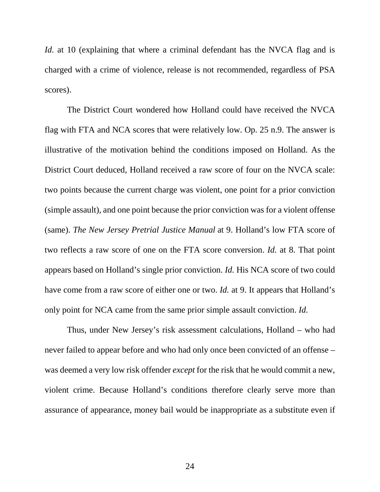*Id.* at 10 (explaining that where a criminal defendant has the NVCA flag and is charged with a crime of violence, release is not recommended, regardless of PSA scores).

The District Court wondered how Holland could have received the NVCA flag with FTA and NCA scores that were relatively low. Op. 25 n.9. The answer is illustrative of the motivation behind the conditions imposed on Holland. As the District Court deduced, Holland received a raw score of four on the NVCA scale: two points because the current charge was violent, one point for a prior conviction (simple assault), and one point because the prior conviction was for a violent offense (same). *The New Jersey Pretrial Justice Manual* at 9. Holland's low FTA score of two reflects a raw score of one on the FTA score conversion. *Id.* at 8. That point appears based on Holland's single prior conviction. *Id.* His NCA score of two could have come from a raw score of either one or two. *Id.* at 9. It appears that Holland's only point for NCA came from the same prior simple assault conviction. *Id.*

Thus, under New Jersey's risk assessment calculations, Holland – who had never failed to appear before and who had only once been convicted of an offense – was deemed a very low risk offender *except* for the risk that he would commit a new, violent crime. Because Holland's conditions therefore clearly serve more than assurance of appearance, money bail would be inappropriate as a substitute even if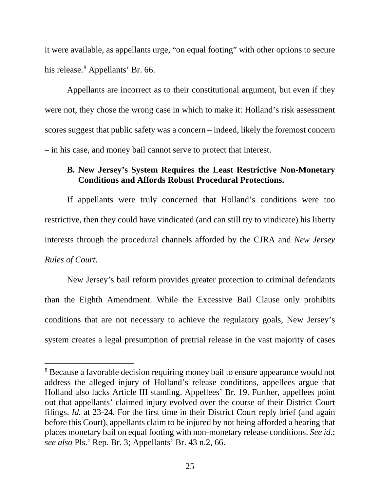it were available, as appellants urge, "on equal footing" with other options to secure his release.<sup>[8](#page-24-0)</sup> Appellants' Br. 66.

Appellants are incorrect as to their constitutional argument, but even if they were not, they chose the wrong case in which to make it: Holland's risk assessment scores suggest that public safety was a concern – indeed, likely the foremost concern – in his case, and money bail cannot serve to protect that interest.

# **B. New Jersey's System Requires the Least Restrictive Non-Monetary Conditions and Affords Robust Procedural Protections.**

If appellants were truly concerned that Holland's conditions were too restrictive, then they could have vindicated (and can still try to vindicate) his liberty interests through the procedural channels afforded by the CJRA and *New Jersey Rules of Court*.

New Jersey's bail reform provides greater protection to criminal defendants than the Eighth Amendment. While the Excessive Bail Clause only prohibits conditions that are not necessary to achieve the regulatory goals, New Jersey's system creates a legal presumption of pretrial release in the vast majority of cases

<span id="page-24-0"></span><sup>&</sup>lt;sup>8</sup> Because a favorable decision requiring money bail to ensure appearance would not address the alleged injury of Holland's release conditions, appellees argue that Holland also lacks Article III standing. Appellees' Br. 19. Further, appellees point out that appellants' claimed injury evolved over the course of their District Court filings. *Id.* at 23-24. For the first time in their District Court reply brief (and again before this Court), appellants claim to be injured by not being afforded a hearing that places monetary bail on equal footing with non-monetary release conditions. *See id.*; *see also* Pls.' Rep. Br. 3; Appellants' Br. 43 n.2, 66.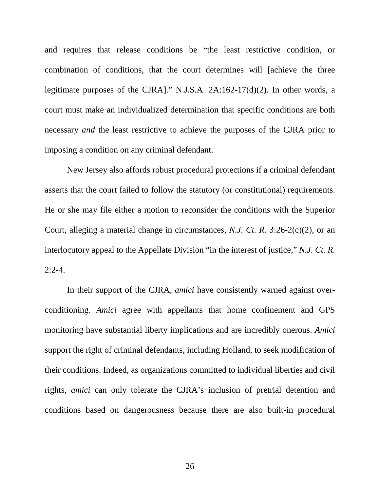and requires that release conditions be "the least restrictive condition, or combination of conditions, that the court determines will [achieve the three legitimate purposes of the CJRA]." N.J.S.A. 2A:162-17(d)(2). In other words, a court must make an individualized determination that specific conditions are both necessary *and* the least restrictive to achieve the purposes of the CJRA prior to imposing a condition on any criminal defendant.

New Jersey also affords robust procedural protections if a criminal defendant asserts that the court failed to follow the statutory (or constitutional) requirements. He or she may file either a motion to reconsider the conditions with the Superior Court, alleging a material change in circumstances, *N.J. Ct. R*. 3:26-2(c)(2), or an interlocutory appeal to the Appellate Division "in the interest of justice," *N.J. Ct. R*.  $2:2-4.$ 

In their support of the CJRA, *amici* have consistently warned against overconditioning. *Amici* agree with appellants that home confinement and GPS monitoring have substantial liberty implications and are incredibly onerous. *Amici*  support the right of criminal defendants, including Holland, to seek modification of their conditions. Indeed, as organizations committed to individual liberties and civil rights, *amici* can only tolerate the CJRA's inclusion of pretrial detention and conditions based on dangerousness because there are also built-in procedural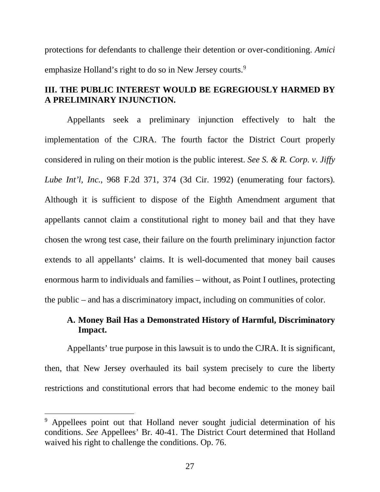protections for defendants to challenge their detention or over-conditioning. *Amici*  emphasize Holland's right to do so in New Jersey courts.<sup>[9](#page-26-0)</sup>

# **III. THE PUBLIC INTEREST WOULD BE EGREGIOUSLY HARMED BY A PRELIMINARY INJUNCTION.**

Appellants seek a preliminary injunction effectively to halt the implementation of the CJRA. The fourth factor the District Court properly considered in ruling on their motion is the public interest. *See S. & R. Corp. v. Jiffy Lube Int'l, Inc.*, 968 F.2d 371, 374 (3d Cir. 1992) (enumerating four factors)*.* Although it is sufficient to dispose of the Eighth Amendment argument that appellants cannot claim a constitutional right to money bail and that they have chosen the wrong test case, their failure on the fourth preliminary injunction factor extends to all appellants' claims. It is well-documented that money bail causes enormous harm to individuals and families – without, as Point I outlines, protecting the public – and has a discriminatory impact, including on communities of color.

# **A. Money Bail Has a Demonstrated History of Harmful, Discriminatory Impact.**

Appellants' true purpose in this lawsuit is to undo the CJRA. It is significant, then, that New Jersey overhauled its bail system precisely to cure the liberty restrictions and constitutional errors that had become endemic to the money bail

<span id="page-26-0"></span><sup>&</sup>lt;sup>9</sup> Appellees point out that Holland never sought judicial determination of his conditions. *See* Appellees' Br. 40-41. The District Court determined that Holland waived his right to challenge the conditions. Op. 76.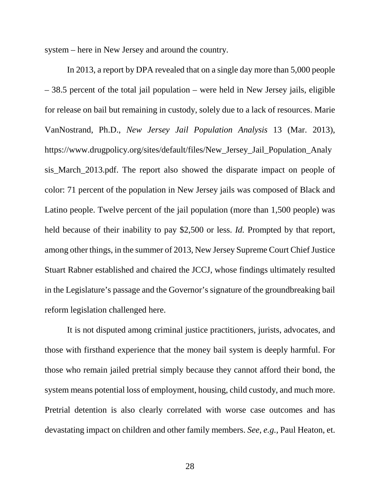system – here in New Jersey and around the country.

In 2013, a report by DPA revealed that on a single day more than 5,000 people – 38.5 percent of the total jail population – were held in New Jersey jails, eligible for release on bail but remaining in custody, solely due to a lack of resources. Marie VanNostrand, Ph.D., *New Jersey Jail Population Analysis* 13 (Mar. 2013), https://www.drugpolicy.org/sites/default/files/New\_Jersey\_Jail\_Population\_Analy sis\_March\_2013.pdf. The report also showed the disparate impact on people of color: 71 percent of the population in New Jersey jails was composed of Black and Latino people. Twelve percent of the jail population (more than 1,500 people) was held because of their inability to pay \$2,500 or less. *Id.* Prompted by that report, among other things, in the summer of 2013, New Jersey Supreme Court Chief Justice Stuart Rabner established and chaired the JCCJ, whose findings ultimately resulted in the Legislature's passage and the Governor's signature of the groundbreaking bail reform legislation challenged here.

It is not disputed among criminal justice practitioners, jurists, advocates, and those with firsthand experience that the money bail system is deeply harmful. For those who remain jailed pretrial simply because they cannot afford their bond, the system means potential loss of employment, housing, child custody, and much more. Pretrial detention is also clearly correlated with worse case outcomes and has devastating impact on children and other family members. *See, e.g.,* Paul Heaton, et.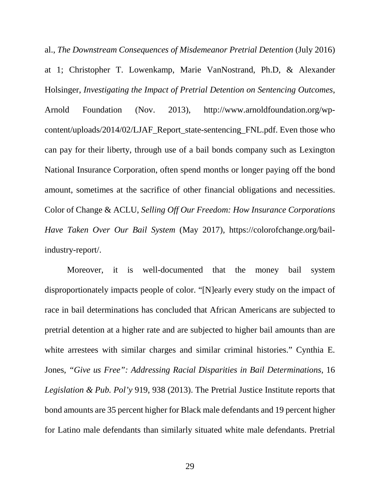al., *The Downstream Consequences of Misdemeanor Pretrial Detention* (July 2016) at 1; Christopher T. Lowenkamp, Marie VanNostrand, Ph.D, & Alexander Holsinger, *Investigating the Impact of Pretrial Detention on Sentencing Outcomes*, Arnold Foundation (Nov. 2013), http://www.arnoldfoundation.org/wpcontent/uploads/2014/02/LJAF\_Report\_state-sentencing\_FNL.pdf. Even those who can pay for their liberty, through use of a bail bonds company such as Lexington National Insurance Corporation, often spend months or longer paying off the bond amount, sometimes at the sacrifice of other financial obligations and necessities. Color of Change & ACLU, *Selling Off Our Freedom: How Insurance Corporations Have Taken Over Our Bail System* (May 2017), https://colorofchange.org/bailindustry-report/.

Moreover, it is well-documented that the money bail system disproportionately impacts people of color. "[N]early every study on the impact of race in bail determinations has concluded that African Americans are subjected to pretrial detention at a higher rate and are subjected to higher bail amounts than are white arrestees with similar charges and similar criminal histories." Cynthia E. Jones, *"Give us Free": Addressing Racial Disparities in Bail Determinations*, 16 *Legislation & Pub. Pol'y* 919, 938 (2013). The Pretrial Justice Institute reports that bond amounts are 35 percent higher for Black male defendants and 19 percent higher for Latino male defendants than similarly situated white male defendants. Pretrial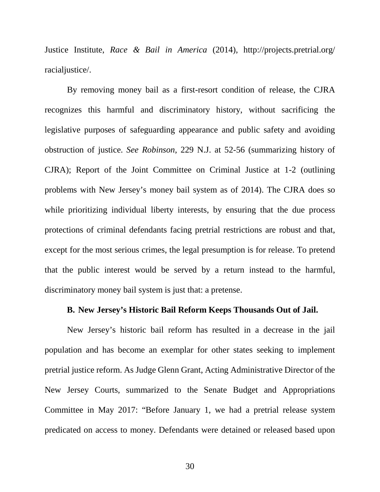Justice Institute, *Race & Bail in America* (2014), http://projects.pretrial.org/ racialjustice/.

By removing money bail as a first-resort condition of release, the CJRA recognizes this harmful and discriminatory history, without sacrificing the legislative purposes of safeguarding appearance and public safety and avoiding obstruction of justice. *See Robinson*, 229 N.J. at 52-56 (summarizing history of CJRA); Report of the Joint Committee on Criminal Justice at 1-2 (outlining problems with New Jersey's money bail system as of 2014). The CJRA does so while prioritizing individual liberty interests, by ensuring that the due process protections of criminal defendants facing pretrial restrictions are robust and that, except for the most serious crimes, the legal presumption is for release. To pretend that the public interest would be served by a return instead to the harmful, discriminatory money bail system is just that: a pretense.

#### **B. New Jersey's Historic Bail Reform Keeps Thousands Out of Jail.**

New Jersey's historic bail reform has resulted in a decrease in the jail population and has become an exemplar for other states seeking to implement pretrial justice reform. As Judge Glenn Grant, Acting Administrative Director of the New Jersey Courts, summarized to the Senate Budget and Appropriations Committee in May 2017: "Before January 1, we had a pretrial release system predicated on access to money. Defendants were detained or released based upon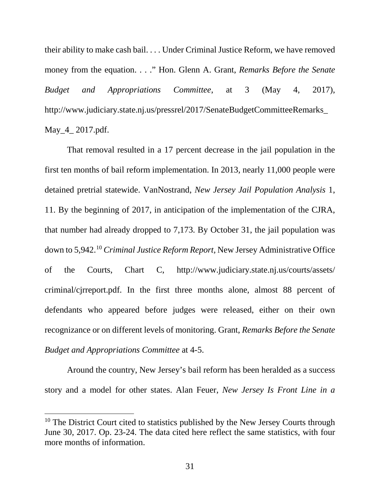their ability to make cash bail. . . . Under Criminal Justice Reform, we have removed money from the equation. . . ." Hon. Glenn A. Grant, *Remarks Before the Senate Budget and Appropriations Committee*, at 3 (May 4, 2017), http://www.judiciary.state.nj.us/pressrel/2017/SenateBudgetCommitteeRemarks\_ May\_4\_ 2017.pdf.

That removal resulted in a 17 percent decrease in the jail population in the first ten months of bail reform implementation. In 2013, nearly 11,000 people were detained pretrial statewide. VanNostrand, *New Jersey Jail Population Analysis* 1, 11. By the beginning of 2017, in anticipation of the implementation of the CJRA, that number had already dropped to 7,173. By October 31, the jail population was down to 5,942. [10](#page-30-0) *Criminal Justice Reform Report,* New Jersey Administrative Office of the Courts, Chart C, http://www.judiciary.state.nj.us/courts/assets/ criminal/cjrreport.pdf. In the first three months alone, almost 88 percent of defendants who appeared before judges were released, either on their own recognizance or on different levels of monitoring. Grant, *Remarks Before the Senate Budget and Appropriations Committee* at 4-5.

Around the country, New Jersey's bail reform has been heralded as a success story and a model for other states. Alan Feuer, *New Jersey Is Front Line in a* 

<span id="page-30-0"></span><sup>&</sup>lt;sup>10</sup> The District Court cited to statistics published by the New Jersey Courts through June 30, 2017. Op. 23-24. The data cited here reflect the same statistics, with four more months of information.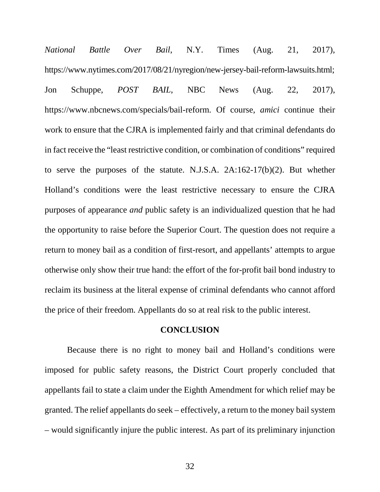*National Battle Over Bail*, N.Y. Times (Aug. 21, 2017), https://www.nytimes.com/2017/08/21/nyregion/new-jersey-bail-reform-lawsuits.html; Jon Schuppe, *POST BAIL*, NBC News (Aug. 22, 2017), https://www.nbcnews.com/specials/bail-reform. Of course, *amici* continue their work to ensure that the CJRA is implemented fairly and that criminal defendants do in fact receive the "least restrictive condition, or combination of conditions" required to serve the purposes of the statute. N.J.S.A. 2A:162-17(b)(2). But whether Holland's conditions were the least restrictive necessary to ensure the CJRA purposes of appearance *and* public safety is an individualized question that he had the opportunity to raise before the Superior Court. The question does not require a return to money bail as a condition of first-resort, and appellants' attempts to argue otherwise only show their true hand: the effort of the for-profit bail bond industry to reclaim its business at the literal expense of criminal defendants who cannot afford the price of their freedom. Appellants do so at real risk to the public interest.

#### **CONCLUSION**

Because there is no right to money bail and Holland's conditions were imposed for public safety reasons, the District Court properly concluded that appellants fail to state a claim under the Eighth Amendment for which relief may be granted. The relief appellants do seek – effectively, a return to the money bail system – would significantly injure the public interest. As part of its preliminary injunction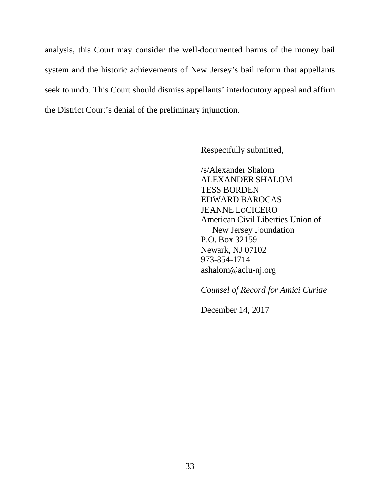analysis, this Court may consider the well-documented harms of the money bail system and the historic achievements of New Jersey's bail reform that appellants seek to undo. This Court should dismiss appellants' interlocutory appeal and affirm the District Court's denial of the preliminary injunction.

Respectfully submitted,

/s/Alexander Shalom ALEXANDER SHALOM TESS BORDEN EDWARD BAROCAS JEANNE LOCICERO American Civil Liberties Union of New Jersey Foundation P.O. Box 32159 Newark, NJ 07102 973-854-1714 ashalom@aclu-nj.org

*Counsel of Record for Amici Curiae*

December 14, 2017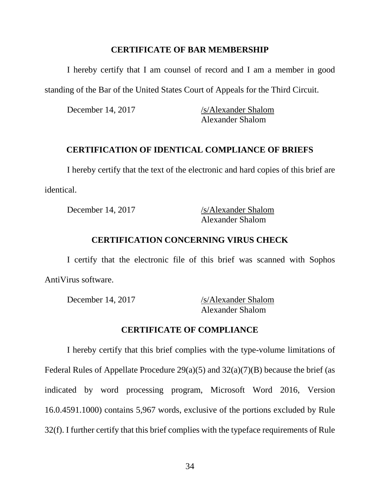### **CERTIFICATE OF BAR MEMBERSHIP**

I hereby certify that I am counsel of record and I am a member in good standing of the Bar of the United States Court of Appeals for the Third Circuit.

December 14, 2017 /s/Alexander Shalom Alexander Shalom

#### **CERTIFICATION OF IDENTICAL COMPLIANCE OF BRIEFS**

I hereby certify that the text of the electronic and hard copies of this brief are identical.

December 14, 2017 /s/Alexander Shalom Alexander Shalom

## **CERTIFICATION CONCERNING VIRUS CHECK**

I certify that the electronic file of this brief was scanned with Sophos AntiVirus software.

December 14, 2017 /s/Alexander Shalom Alexander Shalom

### **CERTIFICATE OF COMPLIANCE**

I hereby certify that this brief complies with the type-volume limitations of Federal Rules of Appellate Procedure  $29(a)(5)$  and  $32(a)(7)(B)$  because the brief (as indicated by word processing program, Microsoft Word 2016, Version 16.0.4591.1000) contains 5,967 words, exclusive of the portions excluded by Rule 32(f). I further certify that this brief complies with the typeface requirements of Rule